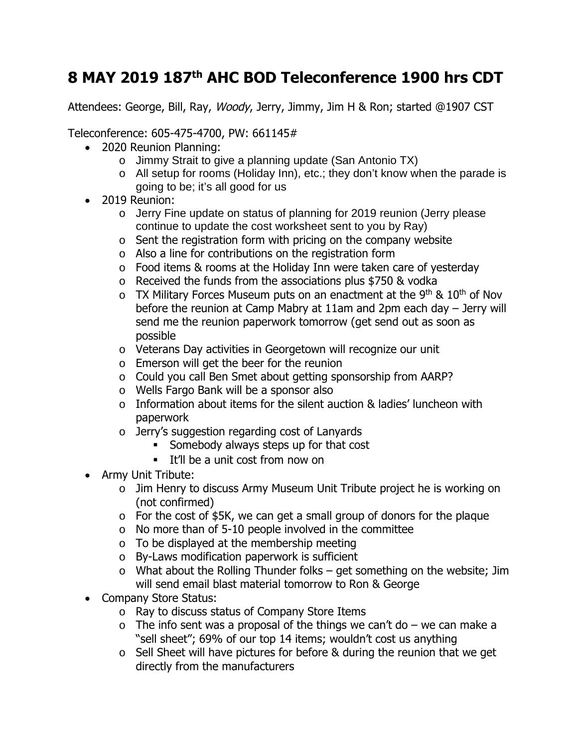## **8 MAY 2019 187th AHC BOD Teleconference 1900 hrs CDT**

Attendees: George, Bill, Ray, Woody, Jerry, Jimmy, Jim H & Ron; started @1907 CST

Teleconference: 605-475-4700, PW: 661145#

- 2020 Reunion Planning:
	- o Jimmy Strait to give a planning update (San Antonio TX)
	- o All setup for rooms (Holiday Inn), etc.; they don't know when the parade is going to be; it's all good for us
- 2019 Reunion:
	- o Jerry Fine update on status of planning for 2019 reunion (Jerry please continue to update the cost worksheet sent to you by Ray)
	- $\circ$  Sent the registration form with pricing on the company website
	- o Also a line for contributions on the registration form
	- o Food items & rooms at the Holiday Inn were taken care of yesterday
	- o Received the funds from the associations plus \$750 & vodka
	- $\circ$  TX Military Forces Museum puts on an enactment at the 9<sup>th</sup> & 10<sup>th</sup> of Nov before the reunion at Camp Mabry at 11am and 2pm each day – Jerry will send me the reunion paperwork tomorrow (get send out as soon as possible
	- o Veterans Day activities in Georgetown will recognize our unit
	- o Emerson will get the beer for the reunion
	- o Could you call Ben Smet about getting sponsorship from AARP?
	- o Wells Fargo Bank will be a sponsor also
	- o Information about items for the silent auction & ladies' luncheon with paperwork
	- o Jerry's suggestion regarding cost of Lanyards
		- Somebody always steps up for that cost
		- **It'll be a unit cost from now on**
- Army Unit Tribute:
	- o Jim Henry to discuss Army Museum Unit Tribute project he is working on (not confirmed)
	- o For the cost of \$5K, we can get a small group of donors for the plaque
	- $\circ$  No more than of 5-10 people involved in the committee
	- o To be displayed at the membership meeting
	- o By-Laws modification paperwork is sufficient
	- $\circ$  What about the Rolling Thunder folks get something on the website; Jim will send email blast material tomorrow to Ron & George
- Company Store Status:
	- o Ray to discuss status of Company Store Items
	- $\circ$  The info sent was a proposal of the things we can't do we can make a "sell sheet"; 69% of our top 14 items; wouldn't cost us anything
	- o Sell Sheet will have pictures for before & during the reunion that we get directly from the manufacturers